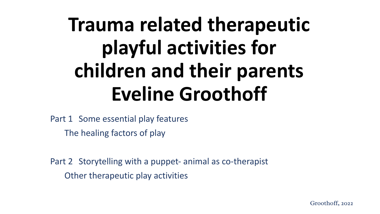# **Trauma related therapeutic playful activities for children and their parents Eveline Groothoff**

Part 1 Some essential play features The healing factors of play

Part 2 Storytelling with a puppet- animal as co-therapist Other therapeutic play activities

Groothoff, 2022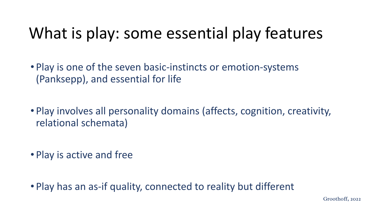### What is play: some essential play features

- Play is one of the seven basic-instincts or emotion-systems (Panksepp), and essential for life
- Play involves all personality domains (affects, cognition, creativity, relational schemata)
- Play is active and free

• Play has an as-if quality, connected to reality but different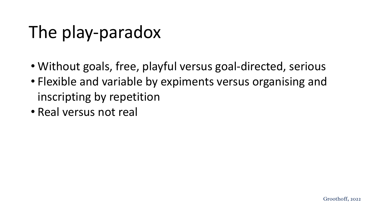### The play-paradox

- Without goals, free, playful versus goal-directed, serious
- Flexible and variable by expiments versus organising and inscripting by repetition
- Real versus not real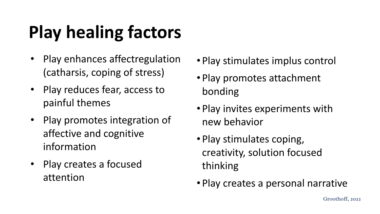# **Play healing factors**

- Play enhances affectregulation (catharsis, coping of stress)
- Play reduces fear, access to painful themes
- Play promotes integration of affective and cognitive information
- Play creates a focused attention
- Play stimulates implus control
- Play promotes attachment bonding
- Play invites experiments with new behavior
- Play stimulates coping, creativity, solution focused thinking
- Play creates a personal narrative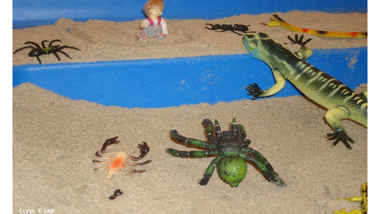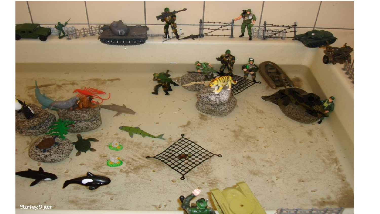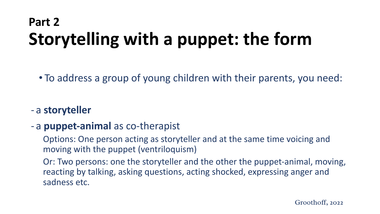### **Part 2 Storytelling with a puppet: the form**

• To address a group of young children with their parents, you need:

#### - a **storyteller**

#### - a **puppet-animal** as co-therapist

Options: One person acting as storyteller and at the same time voicing and moving with the puppet (ventriloquism)

Or: Two persons: one the storyteller and the other the puppet-animal, moving, reacting by talking, asking questions, acting shocked, expressing anger and sadness etc.

Groothoff, 2022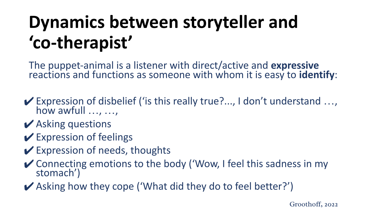## **Dynamics between storyteller and 'co-therapist'**

The puppet-animal is a listener with direct/active and **expressive** reactions and functions as someone with whom it is easy to **identify**:

- $\blacktriangleright$  Expression of disbelief ('is this really true?..., I don't understand ..., how awfull …, …,
- $\vee$  Asking questions
- $\vee$  Expression of feelings
- $\vee$  Expression of needs, thoughts
- ✔Connecting emotions to the body ('Wow, I feel this sadness in my stomach')
- ✔Asking how they cope ('What did they do to feel better?')

Groothoff, 2022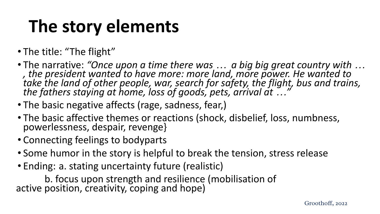## **The story elements**

- The title: "The flight"
- The narrative: *"Once upon a time there was … a big big great country with … , the president wanted to have more: more land, more power. He wanted to take the land of other people, war, search for safety, the flight, bus and trains, the fathers staying at home, loss of goods, pets, arrival at …"*
- The basic negative affects (rage, sadness, fear,)
- The basic affective themes or reactions (shock, disbelief, loss, numbness, powerlessness, despair, revenge}
- Connecting feelings to bodyparts
- Some humor in the story is helpful to break the tension, stress release
- Ending: a. stating uncertainty future (realistic)

b. focus upon strength and resilience (mobilisation of active position, creativity, coping and hope)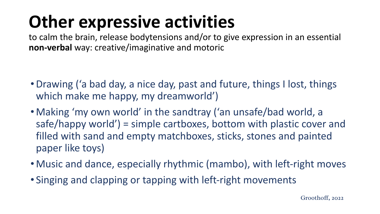## **Other expressive activities**

to calm the brain, release bodytensions and/or to give expression in an essential **non-verbal** way: creative/imaginative and motoric

- •Drawing ('a bad day, a nice day, past and future, things I lost, things which make me happy, my dreamworld')
- Making 'my own world' in the sandtray ('an unsafe/bad world, a safe/happy world') = simple cartboxes, bottom with plastic cover and filled with sand and empty matchboxes, sticks, stones and painted paper like toys)
- Music and dance, especially rhythmic (mambo), with left-right moves
- Singing and clapping or tapping with left-right movements